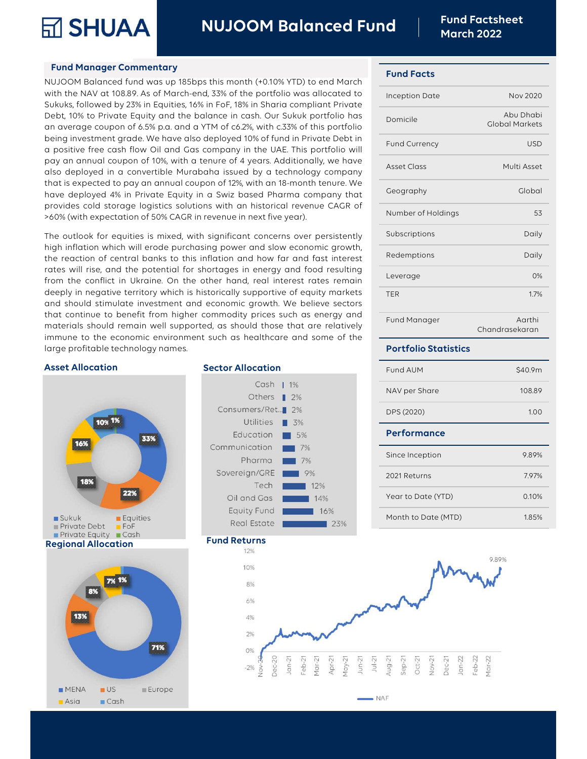

NUJOOM Balanced Fund Fund Factsheet

### Fund Manager Commentary

Fund Manager Commentary<br>
NUJOOM Balanced Fund Narch 20<br>
NUJOOM Balanced Fund Warch 20<br>
NUJOOM Balanced fund was up 185bps this month (+0.10% YTD) to end March<br>
Sukuks, followed by 23% in Equities, 16% in FoF, 18% in Sharia **SHUAA MUJOOM Balanced Fund Fund Factsh**<br> **SHUAA** March 2022<br>
Fund Manager Commentary<br>
NUJOOM Balanced fund was up 185bps this month (+0.10% YTD) to end March<br>
with the NAV at 108.89. As of March-end, 33% of the portfolio **SHUAA** NUJOOM Balanced Fund<br>
Fund Manager Commentary<br>
NUJOOM Balanced fund was up 185bps this month (+0.10% YTD) to end March<br>
with the NAV at 108.89. As of March-end, 33% of the portfolio was allocated to<br>
Sukuks, follow Fund Manager Commentary<br>
Fund Manager Commentary<br>
NUJOOM Balanced Fund Facts<br>
March 2022<br>
Fund Facts<br>
MuJOOM Balanced fund Facts<br>
MuJOOM Balanced Fund Facts<br>
Fund Facts<br>
Sukuks, followed by 23% in Equities, 16% in FoF, 18% FUNCE THE MANN THE MUSEUM COMPONED TRIMATE THE MATCHET MANN AND MONET THE MANN OF BOLOGY STON ON BIGGET THAT ANY OF CHANGE SURVIVE, followed by 23% of the portfolio was allocated to lineeption Date Debt, 10% to Private Equ **being** investment grade. We have also deployed 10% of the URE. This portfolio was these than a sympath and a state of the portfolio was allocated to sukuks, followed by 23% in Equities, 16% in FoF, 18% in Sharia compliant **Fund Manager Commentary**<br>
NUJOOM Balanced fund was up 185bps this month (+0.10% YTD) to end March<br>
with the NAV at 108.89. As of March-end, 33% of the portfolio was allocated to<br>
Sukuks, followed by 23% in Equities, 16% i **Fund Manager Commentary**<br>
NUJOOM Balanced fund was up 185bps this month (+0.10% YTD) to end March<br>
with the NAV at 108.89. As of March-end, 33% of the portfolio was allocated to<br>
Sukuks, followed by 23% in Equities, 16% i **Fund Manager Commentary**<br>
NUJOOM Balanced fund was up 185bps this month (+0.10% YTD) to end March<br>
with the NAV at 108.89. As of March-end, 33% of the portfolio was allocated to<br>
Sukuks, followed by 23% in Equities, 16% NUJOOM Balanced fund was up 185bps this month (+0.10% YTD) to end March<br>
Sukuks, followed by 23% in Equities, 16% in For, 18% in Sharia compliant Private Debt, 10% to Private Equity and the balance in cash. Our Sukuk portf with the NAV at 108.89. As of March-end, 33% of the portfolio was allocated to<br>
Sukuks, followed by 23% in Equities, 16% in FoF, 18% in Sharia compliant Private<br>
Debt, 10% to Private Equity and the balance in cash. Our Suk Sukuks, followed by 23% in Equities, 16% in FoF, 18% in Sharia compliant Private<br>
Debt, 10% to Private Equity and the balance in cash. Our Sukuk portfolio to compone of 6.5% p.v.a. and a YTM of c6.2%, with c.33% of this po Debt, 10% to Private Equity and the balance in cash. Our Sukuk portfolio has<br>
an average coupon of 6.5% p.a. and a YTM of c6.2%, with c.33% of this portfolio<br>
being investment grade. We have also deployed 10% of fund in Pr being investment grade. We have also deployed 10% of fund in Private Debt in<br>
a positive free cash flow Oil and Gas company in the UAE. This portfolio will<br>
pay an annual coupon of 10%, with a tenure of 4 years. Additional or positive free cash flow Oil and Gas company in the UAE. This portfolio will<br>pay an annual coupon of 10%, with a tenure of 4 years. Additionally, we have<br>diso deployed in a convertible Murabaha issued by a technology co

by an annual coupon of 10%, with a tenure of 4 years. Additionally, we have<br>
also deployed in a convertible Murabaha issued by a technology company<br>
that is expected to pay an annual coupon of 12%, with an 18-month tenure. rates will rise, and the potential for the potential issued by a technology company<br>that is expected to pay an annual coupon of 12%, with an 18-month tenure. We<br>have deployed 4% in Private Equity in a Swiz based Pharma com that is expected to pay an annual coupon of 12%, with an 18-month tenure. We<br>have deployed 4% in Private Equity in a Swiz based Pharma company that<br>provides cold storage logistics solutions with an historical revenue CAGR have deployed 4% in Private Equity in a Swiz based Pharma company that<br>
provides cold storage logistics solutions with an historical revenue CAGR of<br>  $>60%$  (with expectation of 50% CAGR in revenue in next five year).<br>
The provides cold storage logistics solutions with an historical revenue CAGR of<br>
260% (with expectation of 50% CAGR in revenue in next five year).<br>
The outlook for equities is mixed, with significant concerns over persistentl that continue to benefit from higher commodity prices such as energy and the exercise of the exercise of the energy and food results for equities is mixed, with significant concerns over persistently<br>
that inflation which The outlook for equities is mixed, with significant concerns over persistently<br>
high inflation which will erode purchasing power and slow economic growth,<br>
the reaction of central banks to this inflation and how far and fa The outlook for equities is mixed, with significant concerns over persistently<br>
Subscriptions<br>
Interaction of central banks to this inflattion and how for and fost interest<br>
rates will rise, and the potential for shortages high inflation which will erode purchasing power and slow econce<br>the reaction of central banks to this inflation and how far and<br>rates will rise, and the potential for shortages in energy and fo<br>from the conflict in Ukrain

### **Asset Allocation Sector Allocation**









 $NAF$ 

# Fund Facts

| <b>March 2022</b>           | <b>Fund Factsheet</b>              |
|-----------------------------|------------------------------------|
| <b>Fund Facts</b>           |                                    |
| <b>Inception Date</b>       | Nov 2020                           |
| Domicile                    | Abu Dhabi<br><b>Global Markets</b> |
| Fund Currency               | <b>USD</b>                         |
| <b>Asset Class</b>          | Multi Asset                        |
| Geography                   | Global                             |
| Number of Holdings          | 53                                 |
| Subscriptions               | Daily                              |
| Redemptions                 | Daily                              |
| Leverage                    | 0%                                 |
| <b>TER</b>                  | 1.7%                               |
| Fund Manager                | Aarthi<br>Chandrasekaran           |
| <b>Portfolio Statistics</b> |                                    |
| Fund AUM                    | \$40.9m                            |
| NAV per Share               | 108.89                             |
| DPS (2020)                  | 1.00                               |
| <b>Performance</b>          |                                    |

| Fund Manager                | Aarthi<br>Chandrasekaran |
|-----------------------------|--------------------------|
| <b>Portfolio Statistics</b> |                          |
| <b>Fund AUM</b>             | \$40.9m                  |
| NAV per Share               | 108.89                   |
| DPS (2020)                  | 1.00                     |
| <b>Performance</b>          |                          |
| Since Inception             | 9.89%                    |
| 2021 Returns                | 7.97%                    |
| Year to Date (YTD)          | 0.10%                    |
| Month to Date (MTD)         | 1.85%                    |
|                             |                          |
| 飍                           | 9.89%                    |